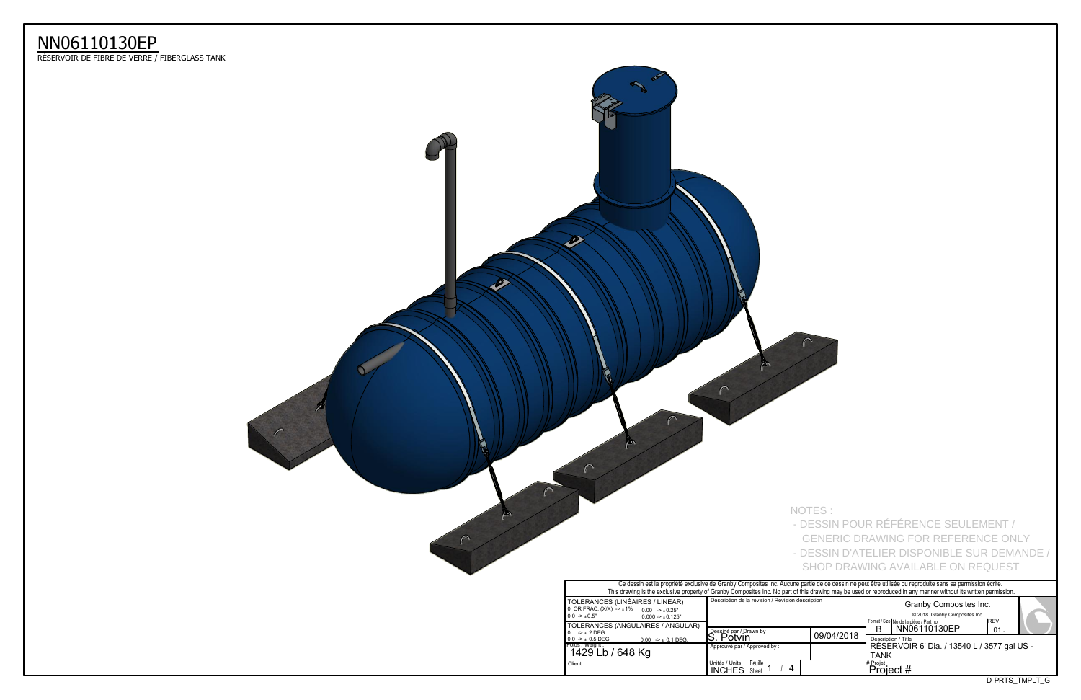D-PRTS\_TMPLT\_G



 $\Gamma$ 

m

 $\Gamma$ 

|                                                                                                                       |                                                                                                                                                                                                                                                                                                                              | NOTES:     |                       | - DESSIN POUR RÉFÉRENCE SEULEMENT /<br><b>GENERIC DRAWING FOR REFERENCE ONLY</b><br>- DESSIN D'ATELIER DISPONIBLE SUR DEMANDE /<br>SHOP DRAWING AVAILABLE ON REQUEST |      |  |
|-----------------------------------------------------------------------------------------------------------------------|------------------------------------------------------------------------------------------------------------------------------------------------------------------------------------------------------------------------------------------------------------------------------------------------------------------------------|------------|-----------------------|----------------------------------------------------------------------------------------------------------------------------------------------------------------------|------|--|
|                                                                                                                       | Ce dessin est la propriété exclusive de Granby Composites Inc. Aucune partie de ce dessin ne peut être utilisée ou reproduite sans sa permission écrite.<br>This drawing is the exclusive property of Granby Composites Inc. No part of this drawing may be used or reproduced in any manner without its written permission. |            |                       |                                                                                                                                                                      |      |  |
| S (LINÉAIRES / LINEAR)<br>$X) -\pm 1\%$<br>$0.00 \rightarrow 0.25"$<br>$0.000 - 1.0125$ "<br>S (ANGULAIRES / ANGULAR) | Description de la révision / Revision description                                                                                                                                                                                                                                                                            |            |                       | Granby Composites Inc.<br>© 2018 Granby Composites Inc.<br>Format / Size No de la pièce / Part no.                                                                   | IREV |  |
| $0.00$ $\rightarrow$ $\pm$ 0.1 DEG.                                                                                   | Dessiné par / Drawn by<br>S. Potvin                                                                                                                                                                                                                                                                                          | 09/04/2018 | B                     | NN06110130EP<br>Description / Title                                                                                                                                  | 01.  |  |
| / 648 Kg                                                                                                              | Approuvé par / Approved by:                                                                                                                                                                                                                                                                                                  |            | <b>TANK</b>           | RÉSERVOIR 6' Dia. / 13540 L / 3577 gal US -                                                                                                                          |      |  |
|                                                                                                                       | Unités / Units<br>Feuille<br>4<br><b>INCHES</b><br>Sheet                                                                                                                                                                                                                                                                     |            | # Proiet<br>Project # |                                                                                                                                                                      |      |  |



## NN06110130EP

ReSERVOIR DE FIBRE DE VERRE / FIBERGLASS TANK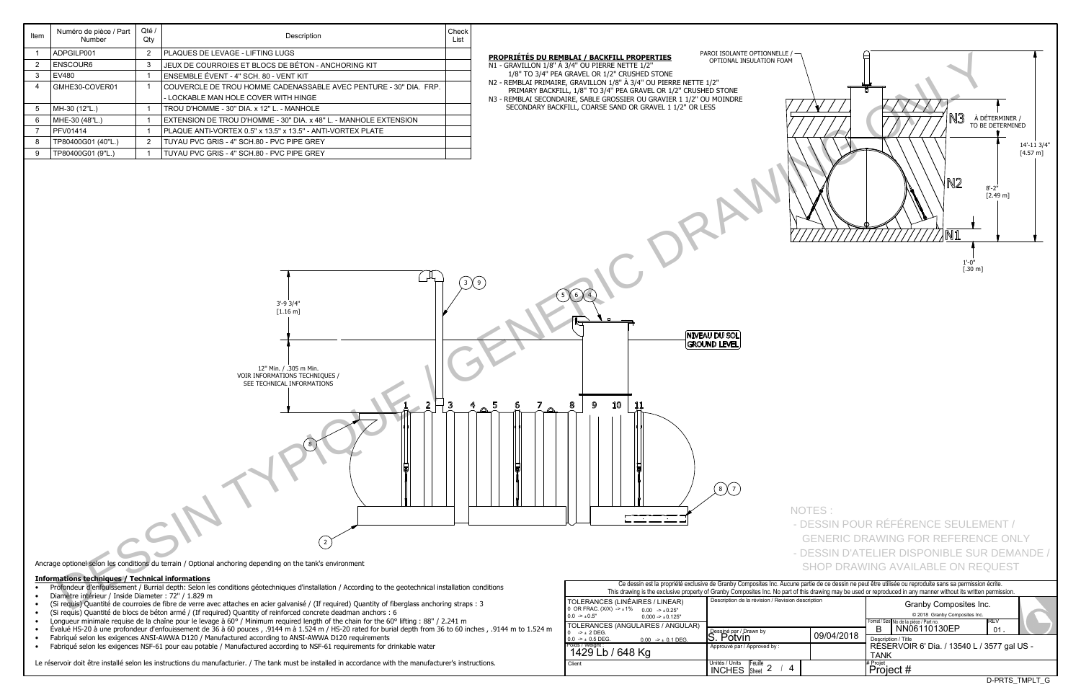D-PRTS\_TMPLT\_G

|                                                                                                                                     | Ce dessin est la propriété exclusive de Granby Composites Inc. Aucune partie de ce dessin ne peut être u<br>This drawing is the exclusive property of Granby Composites Inc. No part of this drawing may be used or repro |  |                   |  |  |  |  |
|-------------------------------------------------------------------------------------------------------------------------------------|---------------------------------------------------------------------------------------------------------------------------------------------------------------------------------------------------------------------------|--|-------------------|--|--|--|--|
| TOLERANCES (LINÉAIRES / LINEAR)<br>0 OR FRAC. $(X/X)$ -> $\pm 1\%$ 0.00 -> $\pm 0.25$ "<br>$0.0 -10.5$ "<br>$0.000 - 1.000 - 1.000$ | Description de la révision / Revision description                                                                                                                                                                         |  |                   |  |  |  |  |
| TOLERANCES (ANGULAIRES / ANGULAR)<br>$\rightarrow$ + 2 DEG.<br>$0.0 \rightarrow \pm 0.5$ DEG.<br>$0.00$ -> $\pm$ 0.1 DEG.           | Dessiné par / Drawn by<br>09/04/2018<br>S. Potvin                                                                                                                                                                         |  |                   |  |  |  |  |
| l Poids / Weiaht :<br>1429 Lb / 648 Kg                                                                                              | Approuvé par / Approved by:                                                                                                                                                                                               |  | <b>RÉS</b><br>TAN |  |  |  |  |
| Client                                                                                                                              | Unités / Units<br><b>IFeuille</b><br><b>INCHES</b><br><b>Sheet</b>                                                                                                                                                        |  | # Projet<br>Pro   |  |  |  |  |

## **Informations techniques / Technical informations**

- Profondeur d'enfouissement / Burrial depth: Selon les conditions géotechniques d'installation / According to the geotechnical installation conditions
- Diamètre intérieur / Inside Diameter : 72" / 1.829 m
- (Si requis) Quantité de courroies de fibre de verre avec attaches en acier galvanisé / (If required) Quantity of fiberglass anchoring straps : 3
- (Si requis) Quantité de blocs de béton armé / (If required) Quantity of reinforced concrete deadman anchors : 6
- Longueur minimale requise de la chaîne pour le levage à 60° / Minimum required length of the chain for the 60° lifting : 88" / 2.241 m
- $\bullet$  Évalué HS-20 à une profondeur d'enfouissement de 36 à 60 pouces , .9144 m à 1.524 m / HS-20 rated for burial depth from 36 to 60 inches , .9144 m to 1.524 m
- Fabriqué selon les exigences ANSI-AWWA D120 / Manufactured according to ANSI-AWWA D120 requirements
- Fabriqué selon les exigences NSF-61 pour eau potable / Manufactured according to NSF-61 requirements for drinkable water

Le réservoir doit être installé selon les instructions du manufacturier. / The tank must be installed in accordance with the manufacturer's instructions.

| Item           | Numéro de pièce / Part<br>Number                        | Qté /<br>Qty   | Description                                                                                                                                             | Check<br>List |                                                                                                                    |                                                   |        |                                                                                                                                                                                                                                                                                                          |
|----------------|---------------------------------------------------------|----------------|---------------------------------------------------------------------------------------------------------------------------------------------------------|---------------|--------------------------------------------------------------------------------------------------------------------|---------------------------------------------------|--------|----------------------------------------------------------------------------------------------------------------------------------------------------------------------------------------------------------------------------------------------------------------------------------------------------------|
| $\mathbf 1$    | ADPGILP001                                              | $\overline{2}$ | PLAQUES DE LEVAGE - LIFTING LUGS                                                                                                                        |               | PROPRIÉTÉS DU REMBLAI / BACKFILL PROPERTIES                                                                        | PAROI ISOLANTE OPTIONNELLE / -                    |        |                                                                                                                                                                                                                                                                                                          |
| $\overline{2}$ | <b>ENSCOUR6</b>                                         | $\mathbf{3}$   | JEUX DE COURROIES ET BLOCS DE BÉTON - ANCHORING KIT                                                                                                     |               | N1 - GRAVILLON 1/8" À 3/4" OU PIERRE NETTE 1/2"                                                                    | OPTIONAL INSULATION FOAM                          |        |                                                                                                                                                                                                                                                                                                          |
| 3              | EV480                                                   | $\overline{1}$ | ENSEMBLE ÉVENT - 4" SCH. 80 - VENT KIT                                                                                                                  |               | 1/8" TO 3/4" PEA GRAVEL OR 1/2" CRUSHED STONE<br>N2 - REMBLAI PRIMAIRE, GRAVILLON 1/8" À 3/4" OU PIERRE NETTE 1/2" |                                                   |        |                                                                                                                                                                                                                                                                                                          |
|                | GMHE30-COVER01                                          | $\overline{1}$ | COUVERCLE DE TROU HOMME CADENASSABLE AVEC PENTURE - 30" DIA. FRP.                                                                                       |               | PRIMARY BACKFILL, 1/8" TO 3/4" PEA GRAVEL OR 1/2" CRUSHED STONE                                                    |                                                   |        |                                                                                                                                                                                                                                                                                                          |
|                |                                                         |                | - LOCKABLE MAN HOLE COVER WITH HINGE                                                                                                                    |               | N3 - REMBLAI SECONDAIRE, SABLE GROSSIER OU GRAVIER 1 1/2" OU MOINDRE                                               |                                                   |        |                                                                                                                                                                                                                                                                                                          |
| 5              | MH-30 (12"L.)                                           |                | TROU D'HOMME - 30" DIA. x 12" L. - MANHOLE                                                                                                              |               | SECONDARY BACKFILL, COARSE SAND OR GRAVEL 1 1/2" OR LESS                                                           |                                                   |        |                                                                                                                                                                                                                                                                                                          |
| 6              | MHE-30 (48"L.)                                          | $\overline{1}$ | EXTENSION DE TROU D'HOMME - 30" DIA. x 48" L. - MANHOLE EXTENSION                                                                                       |               |                                                                                                                    |                                                   |        | 13<br>À DÉTE<br>TO BE DI                                                                                                                                                                                                                                                                                 |
| $\overline{7}$ | <b>PFV01414</b>                                         |                | PLAQUE ANTI-VORTEX 0.5" x 13.5" x 13.5" - ANTI-VORTEX PLATE                                                                                             |               |                                                                                                                    |                                                   |        |                                                                                                                                                                                                                                                                                                          |
|                | TP80400G01 (40"L.)                                      | $\overline{2}$ | TUYAU PVC GRIS - 4" SCH.80 - PVC PIPE GREY                                                                                                              |               |                                                                                                                    |                                                   |        |                                                                                                                                                                                                                                                                                                          |
| 9              | TP80400G01 (9"L.)                                       |                | TUYAU PVC GRIS - 4" SCH.80 - PVC PIPE GREY                                                                                                              |               |                                                                                                                    |                                                   |        | M2)<br>$8'-2$<br>$\sqrt{}$ N1                                                                                                                                                                                                                                                                            |
|                |                                                         |                | 3'-9 3/4"<br>$[1.16 \; m]$<br>12" Min. / .305 m Min.<br>VOIR INFORMATIONS TECHNIQUES /<br>SEE TECHNICAL INFORMATIONS                                    |               | 5(6)<br>10<br>9<br>11                                                                                              | NIVEAU DU SOL<br>GROUND LEVEL                     |        | $1'-0''$<br>$[.30 \text{ m}]$                                                                                                                                                                                                                                                                            |
|                | <b>Informations techniques / Technical informations</b> |                | Ancrage optionel selon les conditions du terrain / Optional anchoring depending on the tank's environment                                               |               |                                                                                                                    | (8)(7)                                            | NOTES: | - DESSIN POUR RÉFÉRENCE SEULEME<br><b>GENERIC DRAWING FOR REFERENCE</b><br>- DESSIN D'ATELIER DISPONIBLE SUR I<br>SHOP DRAWING AVAILABLE ON REQU<br>Ce dessin est la propriété exclusive de Granby Composites Inc. Aucune partie de ce dessin ne peut être utilisée ou reproduite sans sa permission écr |
|                | Diamètre intérieur / Inside Diameter : 72" / 1.829 m    |                | • Profondeur d'enfouissement / Burrial depth: Selon les conditions géotechniques d'installation / According to the geotechnical installation conditions |               |                                                                                                                    |                                                   |        | This drawing is the exclusive property of Granby Composites Inc. No part of this drawing may be used or reproduced in any manner without its written per                                                                                                                                                 |
|                |                                                         |                | (Si requis) Quantité de courroies de fibre de verre avec attaches en acier galvanisé / (If required) Quantity of fiberglass anchoring straps : 3        |               | TOLERANCES (LINÉAIRES / LINEAR)                                                                                    | Description de la révision / Revision description |        | Granby Composites Inc.                                                                                                                                                                                                                                                                                   |

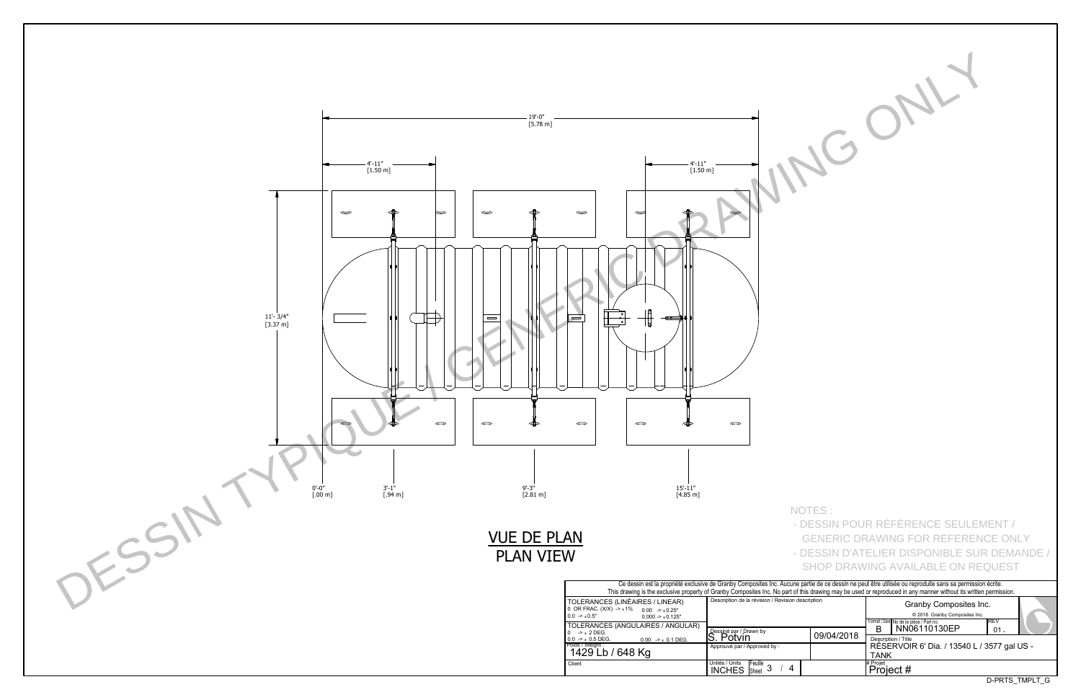| . Given and thing that is about the representation in any manner that backed in Kennikon behind of the |             |           |                                             |                |  |  |  |  |  |  |
|--------------------------------------------------------------------------------------------------------|-------------|-----------|---------------------------------------------|----------------|--|--|--|--|--|--|
|                                                                                                        | description |           |                                             |                |  |  |  |  |  |  |
|                                                                                                        |             |           | © 2018 Granby Composites Inc.               |                |  |  |  |  |  |  |
|                                                                                                        |             |           | Format / Size No de la pièce / Part no.     | IREV           |  |  |  |  |  |  |
|                                                                                                        |             |           | NN06110130EP                                | 01             |  |  |  |  |  |  |
|                                                                                                        | 09/04/2018  |           | Description / Title                         |                |  |  |  |  |  |  |
|                                                                                                        |             |           | RÉSERVOIR 6' Dia. / 13540 L / 3577 gal US - |                |  |  |  |  |  |  |
|                                                                                                        |             | TANK      |                                             |                |  |  |  |  |  |  |
|                                                                                                        |             | # Projet  |                                             |                |  |  |  |  |  |  |
|                                                                                                        |             | Project # |                                             |                |  |  |  |  |  |  |
|                                                                                                        |             |           |                                             | D-PRTS TMPLT G |  |  |  |  |  |  |



NOTES : - DESSIN POUR RÉFÉRENCE SEULEMENT /

 GENERIC DRAWING FOR REFERENCE ONLY - DESSIN D'ATELIER DISPONIBLE SUR DEMANDE /

SHOP DRAWING AVAILABLE ON REQUEST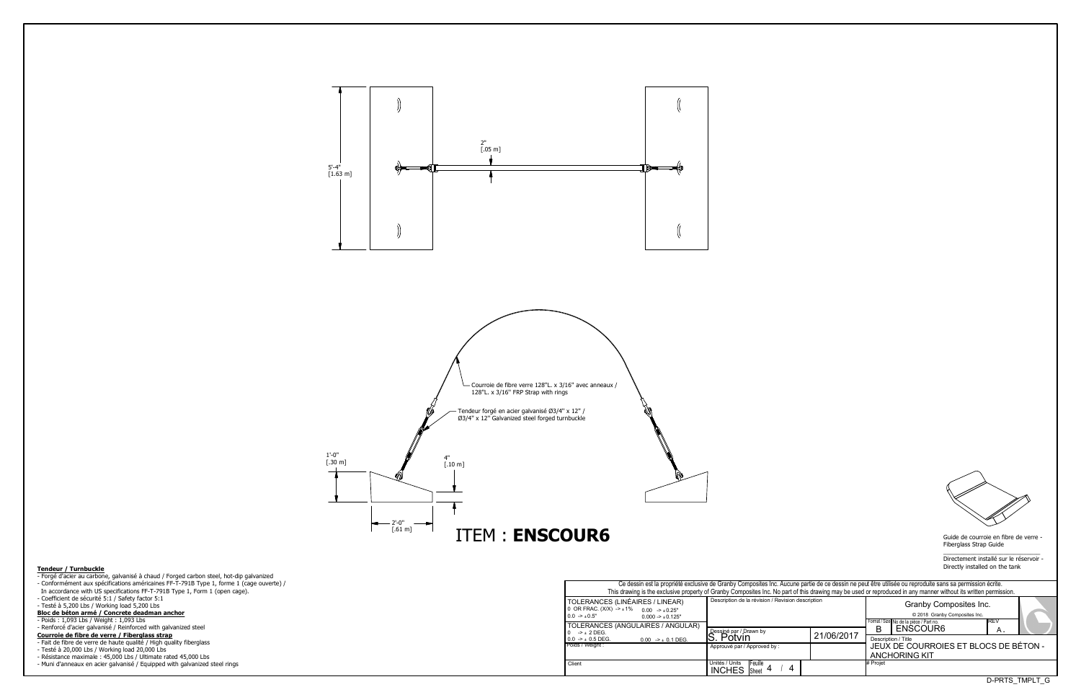Fiberglass Strap Guide

 $\overline{\phantom{a}}$  , and the set of the set of the set of the set of the set of the set of the set of the set of the set of the set of the set of the set of the set of the set of the set of the set of the set of the set of the s Directement installé sur le réservoir -Directly installed on the tank

D-PRTS\_TMPLT\_G

| Ce dessin est la propriété exclusive de Granby Composites Inc. Aucune partie de ce dessin ne peut être utilisée ou reproduite sans sa permission écrite.<br>This drawing is the exclusive property of Granby Composites Inc. No part of this drawing may be used or reproduced in any manner without its written permission. |                                                                 |            |                      |                                                                                                    |                |  |  |  |  |  |  |  |
|------------------------------------------------------------------------------------------------------------------------------------------------------------------------------------------------------------------------------------------------------------------------------------------------------------------------------|-----------------------------------------------------------------|------------|----------------------|----------------------------------------------------------------------------------------------------|----------------|--|--|--|--|--|--|--|
| S (LINÉAIRES / LINEAR)<br>$X) -\pm 1\%$<br>$0.00 \rightarrow 0.25"$<br>$0.000 - 1.0125$ "<br>S (ANGULAIRES / ANGULAR)                                                                                                                                                                                                        | Description de la révision / Revision description               |            |                      | Granby Composites Inc.<br>© 2018 Granby Composites Inc.<br>Format / Size No de la pièce / Part no. | IREV           |  |  |  |  |  |  |  |
|                                                                                                                                                                                                                                                                                                                              | Dessiné par / Drawn by                                          | 21/06/2017 | в                    | ENSCOUR6                                                                                           | Α.             |  |  |  |  |  |  |  |
| $0.00$ -> $\pm$ 0.1 DEG.                                                                                                                                                                                                                                                                                                     | Potvin                                                          |            |                      | Description / Title                                                                                |                |  |  |  |  |  |  |  |
|                                                                                                                                                                                                                                                                                                                              | Approuvé par / Approved by:                                     |            |                      | JEUX DE COURROIES ET BLOCS DE BÉTON -                                                              |                |  |  |  |  |  |  |  |
|                                                                                                                                                                                                                                                                                                                              |                                                                 |            | <b>ANCHORING KIT</b> |                                                                                                    |                |  |  |  |  |  |  |  |
|                                                                                                                                                                                                                                                                                                                              | Unités / Units<br><b>IFeuille</b><br>Sheet $4$<br><b>INCHES</b> |            | # Projet             |                                                                                                    |                |  |  |  |  |  |  |  |
|                                                                                                                                                                                                                                                                                                                              |                                                                 |            |                      |                                                                                                    | D-PRTS TMPLT G |  |  |  |  |  |  |  |



## **Tendeur / Turnbuckle**

- Forgé d'acier au carbone, galvanisé à chaud / Forged carbon steel, hot-dip galvanized - Conformément aux spécifications américaines FF-T-791B Type 1, forme 1 (cage ouverte) / In accordance with US specifications FF-T-791B Type 1, Form 1 (open cage). - Coefficient de sécurité 5:1 / Safety factor 5:1 - Testé à 5,200 Lbs / Working load 5,200 Lbs **Bloc de bpton armp / Concrete deadman anchor**
- Poids : 1,093 Lbs / Weight : 1,093 Lbs
- Renforcé d'acier galvanisé / Reinforced with galvanized steel
- **Courroie de fibre de verre / Fiberglass strap**
- Fait de fibre de verre de haute qualité / High quality fiberglass
- Testé à 20,000 Lbs / Working load 20,000 Lbs
- Résistance maximale : 45,000 Lbs / Ultimate rated 45,000 Lbs
- Muni d'anneaux en acier galvanisé / Equipped with galvanized steel rings

Approuvé par / Approved by : INCHES Sheet 4 / 4 Description de la révision / Revision Poids / Weight : Client **Example 1** Units / Units | Units | Equille 4 | 4 | 4 | 4 | + Projet Dessiné par / Drawn by<br>S. Potvin TOLERANCES (LINÉAIRES / LINEAR) 0 OR FRAC. (X/X) -> ±1% 0.00 -> ±0.25"  $0.0 \rightarrow \pm 0.5"$  $0.000 - 10.125$ " TOLERANCES (ANGULAIRES / ANGULAR) 0  $->$   $\pm$  2 DEG.  $0.00$  ->  $\pm$  0.1 DEG.